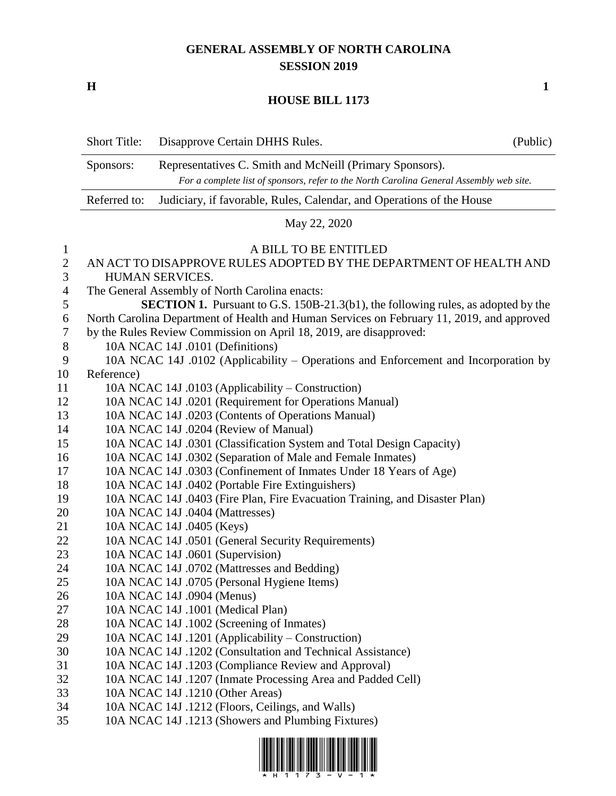## **GENERAL ASSEMBLY OF NORTH CAROLINA SESSION 2019**

**H 1**

## **HOUSE BILL 1173**

|                | <b>Short Title:</b>                                                                     | Disapprove Certain DHHS Rules.                                                            | (Public) |  |
|----------------|-----------------------------------------------------------------------------------------|-------------------------------------------------------------------------------------------|----------|--|
|                | Sponsors:                                                                               | Representatives C. Smith and McNeill (Primary Sponsors).                                  |          |  |
|                | For a complete list of sponsors, refer to the North Carolina General Assembly web site. |                                                                                           |          |  |
|                | Referred to:<br>Judiciary, if favorable, Rules, Calendar, and Operations of the House   |                                                                                           |          |  |
|                | May 22, 2020                                                                            |                                                                                           |          |  |
| $\mathbf{1}$   |                                                                                         | A BILL TO BE ENTITLED                                                                     |          |  |
| $\overline{c}$ |                                                                                         | AN ACT TO DISAPPROVE RULES ADOPTED BY THE DEPARTMENT OF HEALTH AND                        |          |  |
| 3              |                                                                                         | HUMAN SERVICES.                                                                           |          |  |
| $\overline{4}$ |                                                                                         | The General Assembly of North Carolina enacts:                                            |          |  |
| 5              |                                                                                         | SECTION 1. Pursuant to G.S. 150B-21.3(b1), the following rules, as adopted by the         |          |  |
| 6              |                                                                                         | North Carolina Department of Health and Human Services on February 11, 2019, and approved |          |  |
| 7              |                                                                                         | by the Rules Review Commission on April 18, 2019, are disapproved:                        |          |  |
| $8\,$          |                                                                                         | 10A NCAC 14J .0101 (Definitions)                                                          |          |  |
| 9              |                                                                                         | 10A NCAC 14J .0102 (Applicability – Operations and Enforcement and Incorporation by       |          |  |
| 10             | Reference)                                                                              |                                                                                           |          |  |
| 11             |                                                                                         | 10A NCAC 14J .0103 (Applicability - Construction)                                         |          |  |
| 12             |                                                                                         | 10A NCAC 14J .0201 (Requirement for Operations Manual)                                    |          |  |
| 13             |                                                                                         | 10A NCAC 14J .0203 (Contents of Operations Manual)                                        |          |  |
| 14             |                                                                                         | 10A NCAC 14J .0204 (Review of Manual)                                                     |          |  |
| 15             |                                                                                         | 10A NCAC 14J .0301 (Classification System and Total Design Capacity)                      |          |  |
| 16             |                                                                                         | 10A NCAC 14J .0302 (Separation of Male and Female Inmates)                                |          |  |
| 17             |                                                                                         | 10A NCAC 14J .0303 (Confinement of Inmates Under 18 Years of Age)                         |          |  |
| 18             |                                                                                         | 10A NCAC 14J .0402 (Portable Fire Extinguishers)                                          |          |  |
| 19             |                                                                                         | 10A NCAC 14J .0403 (Fire Plan, Fire Evacuation Training, and Disaster Plan)               |          |  |
| 20             |                                                                                         | 10A NCAC 14J .0404 (Mattresses)                                                           |          |  |
| 21             |                                                                                         | 10A NCAC 14J .0405 (Keys)                                                                 |          |  |
| 22             |                                                                                         | 10A NCAC 14J .0501 (General Security Requirements)                                        |          |  |
| 23             |                                                                                         | 10A NCAC 14J .0601 (Supervision)                                                          |          |  |
| 24             |                                                                                         | 10A NCAC 14J .0702 (Mattresses and Bedding)                                               |          |  |
| 25             |                                                                                         | 10A NCAC 14J .0705 (Personal Hygiene Items)                                               |          |  |
| 26             |                                                                                         | 10A NCAC 14J .0904 (Menus)                                                                |          |  |
| 27             |                                                                                         | 10A NCAC 14J .1001 (Medical Plan)                                                         |          |  |
| 28             |                                                                                         | 10A NCAC 14J .1002 (Screening of Inmates)                                                 |          |  |
| 29             |                                                                                         | 10A NCAC 14J .1201 (Applicability – Construction)                                         |          |  |
| 30             |                                                                                         | 10A NCAC 14J .1202 (Consultation and Technical Assistance)                                |          |  |
| 31             |                                                                                         | 10A NCAC 14J .1203 (Compliance Review and Approval)                                       |          |  |
| 32             |                                                                                         | 10A NCAC 14J .1207 (Inmate Processing Area and Padded Cell)                               |          |  |
| 33             |                                                                                         | 10A NCAC 14J .1210 (Other Areas)                                                          |          |  |
| 34             |                                                                                         | 10A NCAC 14J .1212 (Floors, Ceilings, and Walls)                                          |          |  |
| 35             |                                                                                         | 10A NCAC 14J .1213 (Showers and Plumbing Fixtures)                                        |          |  |